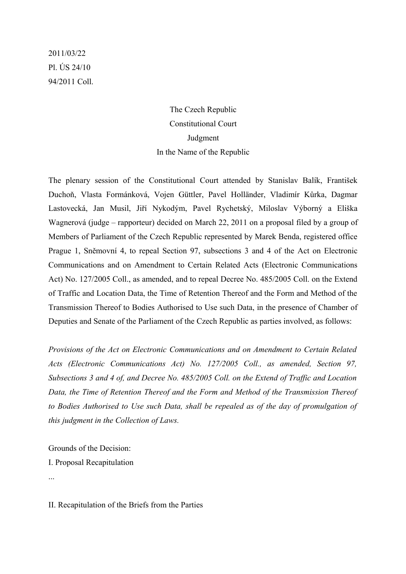2011/03/22 Pl. ÚS 24/10 94/2011 Coll.

# The Czech Republic Constitutional Court Judgment In the Name of the Republic

The plenary session of the Constitutional Court attended by Stanislav Balík, František Duchoň, Vlasta Formánková, Vojen Güttler, Pavel Holländer, Vladimír Kůrka, Dagmar Lastovecká, Jan Musil, Jiří Nykodým, Pavel Rychetský, Miloslav Výborný a Eliška Wagnerová (judge – rapporteur) decided on March 22, 2011 on a proposal filed by a group of Members of Parliament of the Czech Republic represented by Marek Benda, registered office Prague 1, Sněmovní 4, to repeal Section 97, subsections 3 and 4 of the Act on Electronic Communications and on Amendment to Certain Related Acts (Electronic Communications Act) No. 127/2005 Coll., as amended, and to repeal Decree No. 485/2005 Coll. on the Extend of Traffic and Location Data, the Time of Retention Thereof and the Form and Method of the Transmission Thereof to Bodies Authorised to Use such Data, in the presence of Chamber of Deputies and Senate of the Parliament of the Czech Republic as parties involved, as follows:

*Provisions of the Act on Electronic Communications and on Amendment to Certain Related Acts (Electronic Communications Act) No. 127/2005 Coll., as amended, Section 97, Subsections 3 and 4 of, and Decree No. 485/2005 Coll. on the Extend of Traffic and Location Data, the Time of Retention Thereof and the Form and Method of the Transmission Thereof to Bodies Authorised to Use such Data, shall be repealed as of the day of promulgation of this judgment in the Collection of Laws.*

Grounds of the Decision: I. Proposal Recapitulation

...

II. Recapitulation of the Briefs from the Parties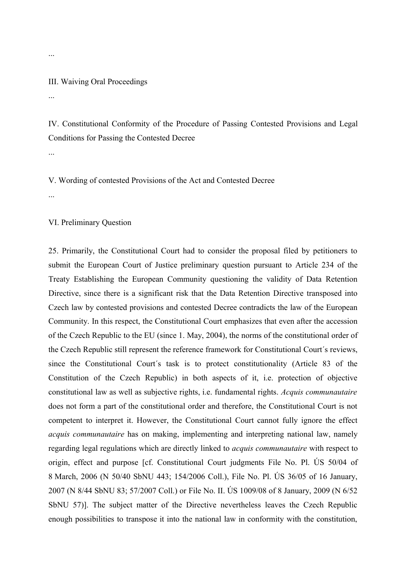#### III. Waiving Oral Proceedings

...

...

IV. Constitutional Conformity of the Procedure of Passing Contested Provisions and Legal Conditions for Passing the Contested Decree

...

V. Wording of contested Provisions of the Act and Contested Decree

...

VI. Preliminary Question

25. Primarily, the Constitutional Court had to consider the proposal filed by petitioners to submit the European Court of Justice preliminary question pursuant to Article 234 of the Treaty Establishing the European Community questioning the validity of Data Retention Directive, since there is a significant risk that the Data Retention Directive transposed into Czech law by contested provisions and contested Decree contradicts the law of the European Community. In this respect, the Constitutional Court emphasizes that even after the accession of the Czech Republic to the EU (since 1. May, 2004), the norms of the constitutional order of the Czech Republic still represent the reference framework for Constitutional Court´s reviews, since the Constitutional Court´s task is to protect constitutionality (Article 83 of the Constitution of the Czech Republic) in both aspects of it, i.e. protection of objective constitutional law as well as subjective rights, i.e. fundamental rights. *Acquis communautaire* does not form a part of the constitutional order and therefore, the Constitutional Court is not competent to interpret it. However, the Constitutional Court cannot fully ignore the effect *acquis communautaire* has on making, implementing and interpreting national law, namely regarding legal regulations which are directly linked to *acquis communautaire* with respect to origin, effect and purpose [cf. Constitutional Court judgments File No. Pl. ÚS 50/04 of 8 March, 2006 (N 50/40 SbNU 443; 154/2006 Coll.), File No. Pl. ÚS 36/05 of 16 January, 2007 (N 8/44 SbNU 83; 57/2007 Coll.) or File No. II. ÚS 1009/08 of 8 January, 2009 (N 6/52 SbNU 57)]. The subject matter of the Directive nevertheless leaves the Czech Republic enough possibilities to transpose it into the national law in conformity with the constitution,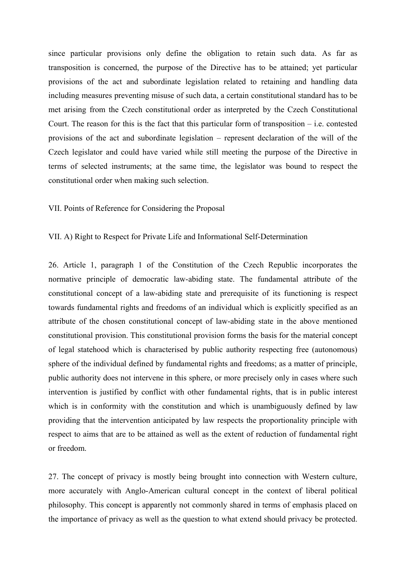since particular provisions only define the obligation to retain such data. As far as transposition is concerned, the purpose of the Directive has to be attained; yet particular provisions of the act and subordinate legislation related to retaining and handling data including measures preventing misuse of such data, a certain constitutional standard has to be met arising from the Czech constitutional order as interpreted by the Czech Constitutional Court. The reason for this is the fact that this particular form of transposition  $-$  i.e. contested provisions of the act and subordinate legislation – represent declaration of the will of the Czech legislator and could have varied while still meeting the purpose of the Directive in terms of selected instruments; at the same time, the legislator was bound to respect the constitutional order when making such selection.

VII. Points of Reference for Considering the Proposal

### VII. A) Right to Respect for Private Life and Informational Self-Determination

26. Article 1, paragraph 1 of the Constitution of the Czech Republic incorporates the normative principle of democratic law-abiding state. The fundamental attribute of the constitutional concept of a law-abiding state and prerequisite of its functioning is respect towards fundamental rights and freedoms of an individual which is explicitly specified as an attribute of the chosen constitutional concept of law-abiding state in the above mentioned constitutional provision. This constitutional provision forms the basis for the material concept of legal statehood which is characterised by public authority respecting free (autonomous) sphere of the individual defined by fundamental rights and freedoms; as a matter of principle, public authority does not intervene in this sphere, or more precisely only in cases where such intervention is justified by conflict with other fundamental rights, that is in public interest which is in conformity with the constitution and which is unambiguously defined by law providing that the intervention anticipated by law respects the proportionality principle with respect to aims that are to be attained as well as the extent of reduction of fundamental right or freedom.

27. The concept of privacy is mostly being brought into connection with Western culture, more accurately with Anglo-American cultural concept in the context of liberal political philosophy. This concept is apparently not commonly shared in terms of emphasis placed on the importance of privacy as well as the question to what extend should privacy be protected.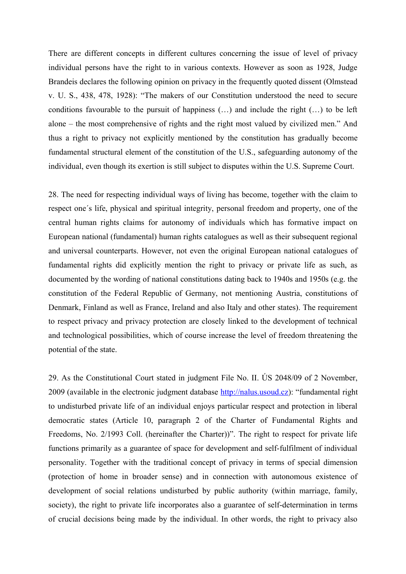There are different concepts in different cultures concerning the issue of level of privacy individual persons have the right to in various contexts. However as soon as 1928, Judge Brandeis declares the following opinion on privacy in the frequently quoted dissent (Olmstead v. U. S., 438, 478, 1928): "The makers of our Constitution understood the need to secure conditions favourable to the pursuit of happiness (…) and include the right (…) to be left alone – the most comprehensive of rights and the right most valued by civilized men." And thus a right to privacy not explicitly mentioned by the constitution has gradually become fundamental structural element of the constitution of the U.S., safeguarding autonomy of the individual, even though its exertion is still subject to disputes within the U.S. Supreme Court.

28. The need for respecting individual ways of living has become, together with the claim to respect one´s life, physical and spiritual integrity, personal freedom and property, one of the central human rights claims for autonomy of individuals which has formative impact on European national (fundamental) human rights catalogues as well as their subsequent regional and universal counterparts. However, not even the original European national catalogues of fundamental rights did explicitly mention the right to privacy or private life as such, as documented by the wording of national constitutions dating back to 1940s and 1950s (e.g. the constitution of the Federal Republic of Germany, not mentioning Austria, constitutions of Denmark, Finland as well as France, Ireland and also Italy and other states). The requirement to respect privacy and privacy protection are closely linked to the development of technical and technological possibilities, which of course increase the level of freedom threatening the potential of the state.

29. As the Constitutional Court stated in judgment File No. II. ÚS 2048/09 of 2 November, 2009 (available in the electronic judgment database [http://nalus.usoud.cz\)](http://nalus.usoud.cz/): "fundamental right to undisturbed private life of an individual enjoys particular respect and protection in liberal democratic states (Article 10, paragraph 2 of the Charter of Fundamental Rights and Freedoms, No. 2/1993 Coll. (hereinafter the Charter))". The right to respect for private life functions primarily as a guarantee of space for development and self-fulfilment of individual personality. Together with the traditional concept of privacy in terms of special dimension (protection of home in broader sense) and in connection with autonomous existence of development of social relations undisturbed by public authority (within marriage, family, society), the right to private life incorporates also a guarantee of self-determination in terms of crucial decisions being made by the individual. In other words, the right to privacy also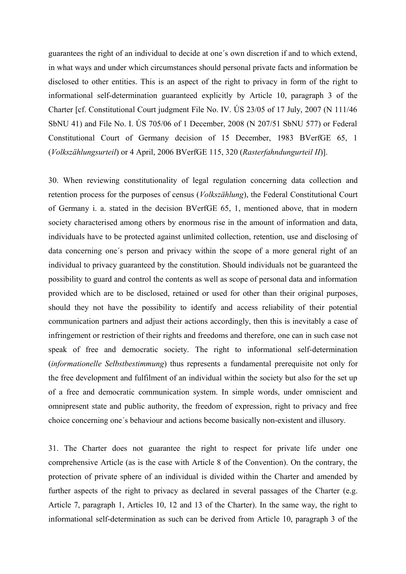guarantees the right of an individual to decide at one´s own discretion if and to which extend, in what ways and under which circumstances should personal private facts and information be disclosed to other entities. This is an aspect of the right to privacy in form of the right to informational self-determination guaranteed explicitly by Article 10, paragraph 3 of the Charter [cf. Constitutional Court judgment File No. IV. ÚS 23/05 of 17 July, 2007 (N 111/46 SbNU 41) and File No. I. ÚS 705/06 of 1 December, 2008 (N 207/51 SbNU 577) or Federal Constitutional Court of Germany decision of 15 December, 1983 BVerfGE 65, 1 (*Volkszählungsurteil*) or 4 April, 2006 BVerfGE 115, 320 (*Rasterfahndungurteil II*)].

30. When reviewing constitutionality of legal regulation concerning data collection and retention process for the purposes of census (*Volkszählung*), the Federal Constitutional Court of Germany i. a. stated in the decision BVerfGE 65, 1, mentioned above, that in modern society characterised among others by enormous rise in the amount of information and data, individuals have to be protected against unlimited collection, retention, use and disclosing of data concerning one´s person and privacy within the scope of a more general right of an individual to privacy guaranteed by the constitution. Should individuals not be guaranteed the possibility to guard and control the contents as well as scope of personal data and information provided which are to be disclosed, retained or used for other than their original purposes, should they not have the possibility to identify and access reliability of their potential communication partners and adjust their actions accordingly, then this is inevitably a case of infringement or restriction of their rights and freedoms and therefore, one can in such case not speak of free and democratic society. The right to informational self-determination (*informationelle Selbstbestimmung*) thus represents a fundamental prerequisite not only for the free development and fulfilment of an individual within the society but also for the set up of a free and democratic communication system. In simple words, under omniscient and omnipresent state and public authority, the freedom of expression, right to privacy and free choice concerning one´s behaviour and actions become basically non-existent and illusory.

31. The Charter does not guarantee the right to respect for private life under one comprehensive Article (as is the case with Article 8 of the Convention). On the contrary, the protection of private sphere of an individual is divided within the Charter and amended by further aspects of the right to privacy as declared in several passages of the Charter (e.g. Article 7, paragraph 1, Articles 10, 12 and 13 of the Charter). In the same way, the right to informational self-determination as such can be derived from Article 10, paragraph 3 of the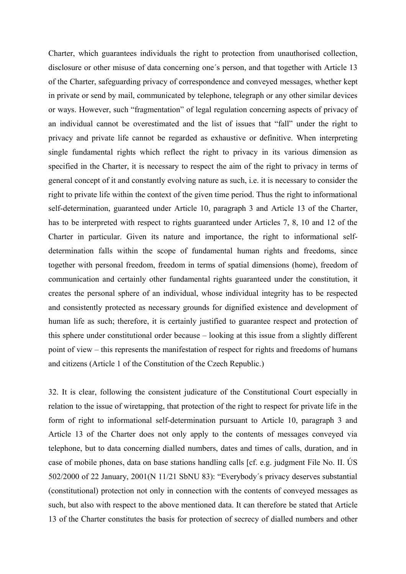Charter, which guarantees individuals the right to protection from unauthorised collection, disclosure or other misuse of data concerning one´s person, and that together with Article 13 of the Charter, safeguarding privacy of correspondence and conveyed messages, whether kept in private or send by mail, communicated by telephone, telegraph or any other similar devices or ways. However, such "fragmentation" of legal regulation concerning aspects of privacy of an individual cannot be overestimated and the list of issues that "fall" under the right to privacy and private life cannot be regarded as exhaustive or definitive. When interpreting single fundamental rights which reflect the right to privacy in its various dimension as specified in the Charter, it is necessary to respect the aim of the right to privacy in terms of general concept of it and constantly evolving nature as such, i.e. it is necessary to consider the right to private life within the context of the given time period. Thus the right to informational self-determination, guaranteed under Article 10, paragraph 3 and Article 13 of the Charter, has to be interpreted with respect to rights guaranteed under Articles 7, 8, 10 and 12 of the Charter in particular. Given its nature and importance, the right to informational selfdetermination falls within the scope of fundamental human rights and freedoms, since together with personal freedom, freedom in terms of spatial dimensions (home), freedom of communication and certainly other fundamental rights guaranteed under the constitution, it creates the personal sphere of an individual, whose individual integrity has to be respected and consistently protected as necessary grounds for dignified existence and development of human life as such; therefore, it is certainly justified to guarantee respect and protection of this sphere under constitutional order because – looking at this issue from a slightly different point of view – this represents the manifestation of respect for rights and freedoms of humans and citizens (Article 1 of the Constitution of the Czech Republic.)

32. It is clear, following the consistent judicature of the Constitutional Court especially in relation to the issue of wiretapping, that protection of the right to respect for private life in the form of right to informational self-determination pursuant to Article 10, paragraph 3 and Article 13 of the Charter does not only apply to the contents of messages conveyed via telephone, but to data concerning dialled numbers, dates and times of calls, duration, and in case of mobile phones, data on base stations handling calls [cf. e.g. judgment File No. II. ÚS 502/2000 of 22 January, 2001(N 11/21 SbNU 83): "Everybody´s privacy deserves substantial (constitutional) protection not only in connection with the contents of conveyed messages as such, but also with respect to the above mentioned data. It can therefore be stated that Article 13 of the Charter constitutes the basis for protection of secrecy of dialled numbers and other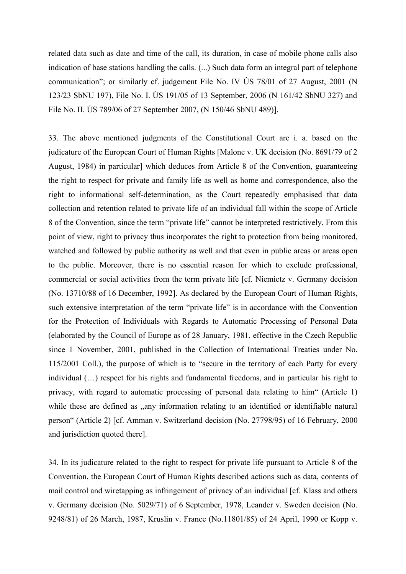related data such as date and time of the call, its duration, in case of mobile phone calls also indication of base stations handling the calls. (...) Such data form an integral part of telephone communication"; or similarly cf. judgement File No. IV ÚS 78/01 of 27 August, 2001 (N 123/23 SbNU 197), File No. I. ÚS 191/05 of 13 September, 2006 (N 161/42 SbNU 327) and File No. II. ÚS 789/06 of 27 September 2007, (N 150/46 SbNU 489)].

33. The above mentioned judgments of the Constitutional Court are i. a. based on the judicature of the European Court of Human Rights [Malone v. UK decision (No. 8691/79 of 2 August, 1984) in particular] which deduces from Article 8 of the Convention, guaranteeing the right to respect for private and family life as well as home and correspondence, also the right to informational self-determination, as the Court repeatedly emphasised that data collection and retention related to private life of an individual fall within the scope of Article 8 of the Convention, since the term "private life" cannot be interpreted restrictively. From this point of view, right to privacy thus incorporates the right to protection from being monitored, watched and followed by public authority as well and that even in public areas or areas open to the public. Moreover, there is no essential reason for which to exclude professional, commercial or social activities from the term private life [cf. Niemietz v. Germany decision (No. 13710/88 of 16 December, 1992]. As declared by the European Court of Human Rights, such extensive interpretation of the term "private life" is in accordance with the Convention for the Protection of Individuals with Regards to Automatic Processing of Personal Data (elaborated by the Council of Europe as of 28 January, 1981, effective in the Czech Republic since 1 November, 2001, published in the Collection of International Treaties under No. 115/2001 Coll.), the purpose of which is to "secure in the territory of each Party for every individual (…) respect for his rights and fundamental freedoms, and in particular his right to privacy, with regard to automatic processing of personal data relating to him" (Article 1) while these are defined as "any information relating to an identified or identifiable natural person" (Article 2) [cf. Amman v. Switzerland decision (No. 27798/95) of 16 February, 2000 and jurisdiction quoted there].

34. In its judicature related to the right to respect for private life pursuant to Article 8 of the Convention, the European Court of Human Rights described actions such as data, contents of mail control and wiretapping as infringement of privacy of an individual [cf. Klass and others v. Germany decision (No. 5029/71) of 6 September, 1978, Leander v. Sweden decision (No. 9248/81) of 26 March, 1987, Kruslin v. France (No.11801/85) of 24 April, 1990 or Kopp v.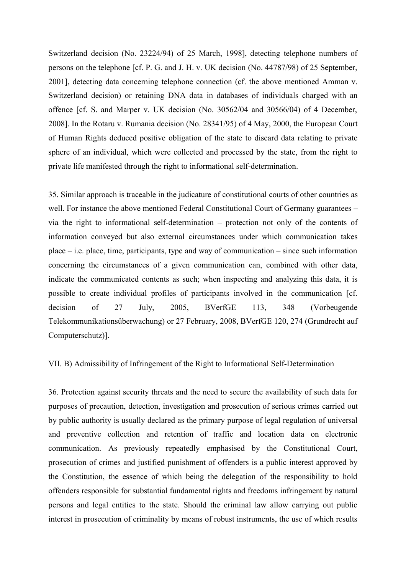Switzerland decision (No. 23224/94) of 25 March, 1998], detecting telephone numbers of persons on the telephone [cf. P. G. and J. H. v. UK decision (No. 44787/98) of 25 September, 2001], detecting data concerning telephone connection (cf. the above mentioned Amman v. Switzerland decision) or retaining DNA data in databases of individuals charged with an offence [cf. S. and Marper v. UK decision (No. 30562/04 and 30566/04) of 4 December, 2008]. In the Rotaru v. Rumania decision (No. 28341/95) of 4 May, 2000, the European Court of Human Rights deduced positive obligation of the state to discard data relating to private sphere of an individual, which were collected and processed by the state, from the right to private life manifested through the right to informational self-determination.

35. Similar approach is traceable in the judicature of constitutional courts of other countries as well. For instance the above mentioned Federal Constitutional Court of Germany guarantees – via the right to informational self-determination – protection not only of the contents of information conveyed but also external circumstances under which communication takes place – i.e. place, time, participants, type and way of communication – since such information concerning the circumstances of a given communication can, combined with other data, indicate the communicated contents as such; when inspecting and analyzing this data, it is possible to create individual profiles of participants involved in the communication [cf. decision of 27 July, 2005, BVerfGE 113, 348 (Vorbeugende Telekommunikationsüberwachung) or 27 February, 2008, BVerfGE 120, 274 (Grundrecht auf Computerschutz)].

## VII. B) Admissibility of Infringement of the Right to Informational Self-Determination

36. Protection against security threats and the need to secure the availability of such data for purposes of precaution, detection, investigation and prosecution of serious crimes carried out by public authority is usually declared as the primary purpose of legal regulation of universal and preventive collection and retention of traffic and location data on electronic communication. As previously repeatedly emphasised by the Constitutional Court, prosecution of crimes and justified punishment of offenders is a public interest approved by the Constitution, the essence of which being the delegation of the responsibility to hold offenders responsible for substantial fundamental rights and freedoms infringement by natural persons and legal entities to the state. Should the criminal law allow carrying out public interest in prosecution of criminality by means of robust instruments, the use of which results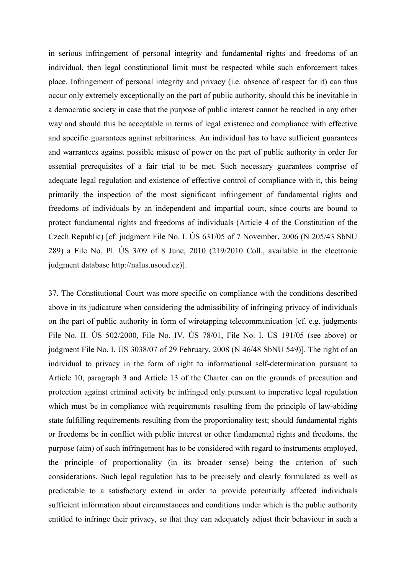in serious infringement of personal integrity and fundamental rights and freedoms of an individual, then legal constitutional limit must be respected while such enforcement takes place. Infringement of personal integrity and privacy (i.e. absence of respect for it) can thus occur only extremely exceptionally on the part of public authority, should this be inevitable in a democratic society in case that the purpose of public interest cannot be reached in any other way and should this be acceptable in terms of legal existence and compliance with effective and specific guarantees against arbitrariness. An individual has to have sufficient guarantees and warrantees against possible misuse of power on the part of public authority in order for essential prerequisites of a fair trial to be met. Such necessary guarantees comprise of adequate legal regulation and existence of effective control of compliance with it, this being primarily the inspection of the most significant infringement of fundamental rights and freedoms of individuals by an independent and impartial court, since courts are bound to protect fundamental rights and freedoms of individuals (Article 4 of the Constitution of the Czech Republic) [cf. judgment File No. I. ÚS 631/05 of 7 November, 2006 (N 205/43 SbNU 289) a File No. Pl. ÚS 3/09 of 8 June, 2010 (219/2010 Coll., available in the electronic judgment database http://nalus.usoud.cz)].

37. The Constitutional Court was more specific on compliance with the conditions described above in its judicature when considering the admissibility of infringing privacy of individuals on the part of public authority in form of wiretapping telecommunication [cf. e.g. judgments File No. II. ÚS 502/2000, File No. IV. ÚS 78/01, File No. I. ÚS 191/05 (see above) or judgment File No. I. ÚS 3038/07 of 29 February, 2008 (N 46/48 SbNU 549)]. The right of an individual to privacy in the form of right to informational self-determination pursuant to Article 10, paragraph 3 and Article 13 of the Charter can on the grounds of precaution and protection against criminal activity be infringed only pursuant to imperative legal regulation which must be in compliance with requirements resulting from the principle of law-abiding state fulfilling requirements resulting from the proportionality test; should fundamental rights or freedoms be in conflict with public interest or other fundamental rights and freedoms, the purpose (aim) of such infringement has to be considered with regard to instruments employed, the principle of proportionality (in its broader sense) being the criterion of such considerations. Such legal regulation has to be precisely and clearly formulated as well as predictable to a satisfactory extend in order to provide potentially affected individuals sufficient information about circumstances and conditions under which is the public authority entitled to infringe their privacy, so that they can adequately adjust their behaviour in such a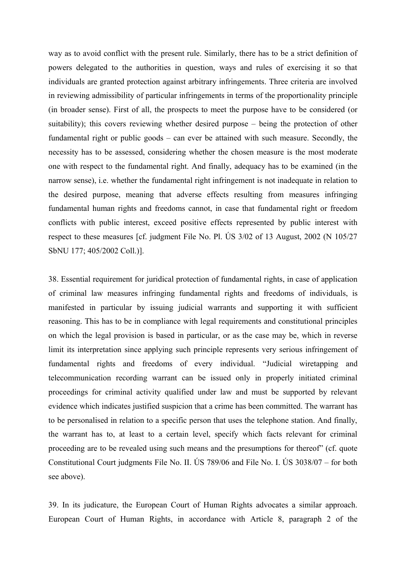way as to avoid conflict with the present rule. Similarly, there has to be a strict definition of powers delegated to the authorities in question, ways and rules of exercising it so that individuals are granted protection against arbitrary infringements. Three criteria are involved in reviewing admissibility of particular infringements in terms of the proportionality principle (in broader sense). First of all, the prospects to meet the purpose have to be considered (or suitability); this covers reviewing whether desired purpose – being the protection of other fundamental right or public goods – can ever be attained with such measure. Secondly, the necessity has to be assessed, considering whether the chosen measure is the most moderate one with respect to the fundamental right. And finally, adequacy has to be examined (in the narrow sense), i.e. whether the fundamental right infringement is not inadequate in relation to the desired purpose, meaning that adverse effects resulting from measures infringing fundamental human rights and freedoms cannot, in case that fundamental right or freedom conflicts with public interest, exceed positive effects represented by public interest with respect to these measures [cf. judgment File No. Pl. ÚS 3/02 of 13 August, 2002 (N 105/27 SbNU 177; 405/2002 Coll.)].

38. Essential requirement for juridical protection of fundamental rights, in case of application of criminal law measures infringing fundamental rights and freedoms of individuals, is manifested in particular by issuing judicial warrants and supporting it with sufficient reasoning. This has to be in compliance with legal requirements and constitutional principles on which the legal provision is based in particular, or as the case may be, which in reverse limit its interpretation since applying such principle represents very serious infringement of fundamental rights and freedoms of every individual. "Judicial wiretapping and telecommunication recording warrant can be issued only in properly initiated criminal proceedings for criminal activity qualified under law and must be supported by relevant evidence which indicates justified suspicion that a crime has been committed. The warrant has to be personalised in relation to a specific person that uses the telephone station. And finally, the warrant has to, at least to a certain level, specify which facts relevant for criminal proceeding are to be revealed using such means and the presumptions for thereof" (cf. quote Constitutional Court judgments File No. II. ÚS 789/06 and File No. I. ÚS 3038/07 – for both see above).

39. In its judicature, the European Court of Human Rights advocates a similar approach. European Court of Human Rights, in accordance with Article 8, paragraph 2 of the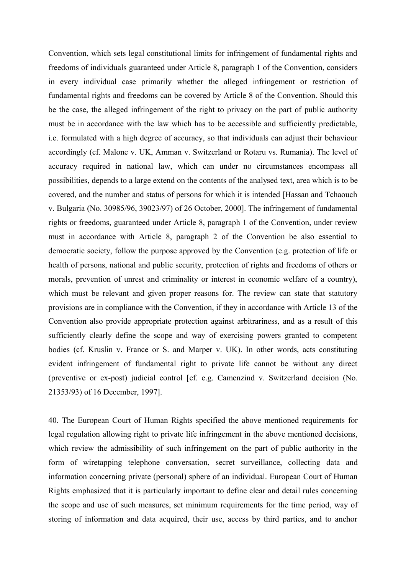Convention, which sets legal constitutional limits for infringement of fundamental rights and freedoms of individuals guaranteed under Article 8, paragraph 1 of the Convention, considers in every individual case primarily whether the alleged infringement or restriction of fundamental rights and freedoms can be covered by Article 8 of the Convention. Should this be the case, the alleged infringement of the right to privacy on the part of public authority must be in accordance with the law which has to be accessible and sufficiently predictable, i.e. formulated with a high degree of accuracy, so that individuals can adjust their behaviour accordingly (cf. Malone v. UK, Amman v. Switzerland or Rotaru vs. Rumania). The level of accuracy required in national law, which can under no circumstances encompass all possibilities, depends to a large extend on the contents of the analysed text, area which is to be covered, and the number and status of persons for which it is intended [Hassan and Tchaouch v. Bulgaria (No. 30985/96, 39023/97) of 26 October, 2000]. The infringement of fundamental rights or freedoms, guaranteed under Article 8, paragraph 1 of the Convention, under review must in accordance with Article 8, paragraph 2 of the Convention be also essential to democratic society, follow the purpose approved by the Convention (e.g. protection of life or health of persons, national and public security, protection of rights and freedoms of others or morals, prevention of unrest and criminality or interest in economic welfare of a country), which must be relevant and given proper reasons for. The review can state that statutory provisions are in compliance with the Convention, if they in accordance with Article 13 of the Convention also provide appropriate protection against arbitrariness, and as a result of this sufficiently clearly define the scope and way of exercising powers granted to competent bodies (cf. Kruslin v. France or S. and Marper v. UK). In other words, acts constituting evident infringement of fundamental right to private life cannot be without any direct (preventive or ex-post) judicial control [cf. e.g. Camenzind v. Switzerland decision (No. 21353/93) of 16 December, 1997].

40. The European Court of Human Rights specified the above mentioned requirements for legal regulation allowing right to private life infringement in the above mentioned decisions, which review the admissibility of such infringement on the part of public authority in the form of wiretapping telephone conversation, secret surveillance, collecting data and information concerning private (personal) sphere of an individual. European Court of Human Rights emphasized that it is particularly important to define clear and detail rules concerning the scope and use of such measures, set minimum requirements for the time period, way of storing of information and data acquired, their use, access by third parties, and to anchor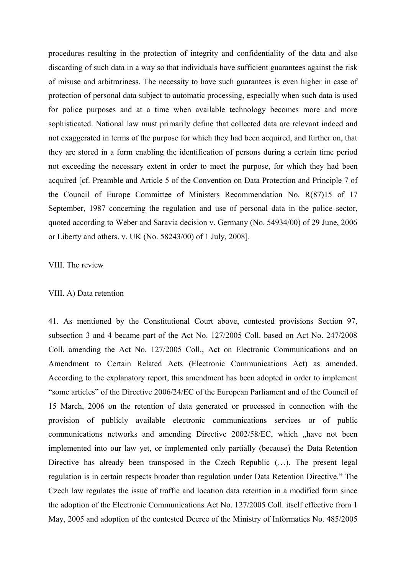procedures resulting in the protection of integrity and confidentiality of the data and also discarding of such data in a way so that individuals have sufficient guarantees against the risk of misuse and arbitrariness. The necessity to have such guarantees is even higher in case of protection of personal data subject to automatic processing, especially when such data is used for police purposes and at a time when available technology becomes more and more sophisticated. National law must primarily define that collected data are relevant indeed and not exaggerated in terms of the purpose for which they had been acquired, and further on, that they are stored in a form enabling the identification of persons during a certain time period not exceeding the necessary extent in order to meet the purpose, for which they had been acquired [cf. Preamble and Article 5 of the Convention on Data Protection and Principle 7 of the Council of Europe Committee of Ministers Recommendation No. R(87)15 of 17 September, 1987 concerning the regulation and use of personal data in the police sector, quoted according to Weber and Saravia decision v. Germany (No. 54934/00) of 29 June, 2006 or Liberty and others. v. UK (No. 58243/00) of 1 July, 2008].

# VIII. The review

#### VIII. A) Data retention

41. As mentioned by the Constitutional Court above, contested provisions Section 97, subsection 3 and 4 became part of the Act No. 127/2005 Coll. based on Act No. 247/2008 Coll. amending the Act No. 127/2005 Coll., Act on Electronic Communications and on Amendment to Certain Related Acts (Electronic Communications Act) as amended. According to the explanatory report, this amendment has been adopted in order to implement "some articles" of the Directive 2006/24/EC of the European Parliament and of the Council of 15 March, 2006 on the retention of data generated or processed in connection with the provision of publicly available electronic communications services or of public communications networks and amending Directive 2002/58/EC, which "have not been implemented into our law yet, or implemented only partially (because) the Data Retention Directive has already been transposed in the Czech Republic (...). The present legal regulation is in certain respects broader than regulation under Data Retention Directive." The Czech law regulates the issue of traffic and location data retention in a modified form since the adoption of the Electronic Communications Act No. 127/2005 Coll. itself effective from 1 May, 2005 and adoption of the contested Decree of the Ministry of Informatics No. 485/2005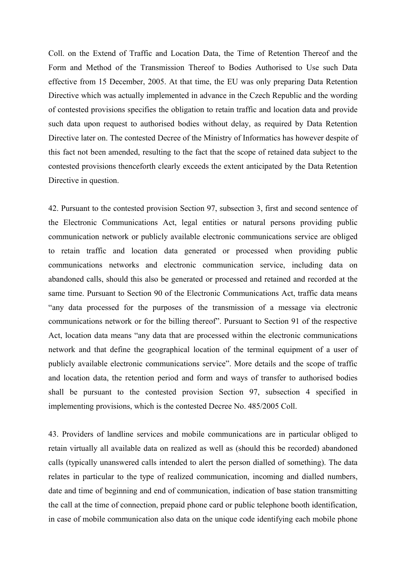Coll. on the Extend of Traffic and Location Data, the Time of Retention Thereof and the Form and Method of the Transmission Thereof to Bodies Authorised to Use such Data effective from 15 December, 2005. At that time, the EU was only preparing Data Retention Directive which was actually implemented in advance in the Czech Republic and the wording of contested provisions specifies the obligation to retain traffic and location data and provide such data upon request to authorised bodies without delay, as required by Data Retention Directive later on. The contested Decree of the Ministry of Informatics has however despite of this fact not been amended, resulting to the fact that the scope of retained data subject to the contested provisions thenceforth clearly exceeds the extent anticipated by the Data Retention Directive in question.

42. Pursuant to the contested provision Section 97, subsection 3, first and second sentence of the Electronic Communications Act, legal entities or natural persons providing public communication network or publicly available electronic communications service are obliged to retain traffic and location data generated or processed when providing public communications networks and electronic communication service, including data on abandoned calls, should this also be generated or processed and retained and recorded at the same time. Pursuant to Section 90 of the Electronic Communications Act, traffic data means "any data processed for the purposes of the transmission of a message via electronic communications network or for the billing thereof". Pursuant to Section 91 of the respective Act, location data means "any data that are processed within the electronic communications network and that define the geographical location of the terminal equipment of a user of publicly available electronic communications service". More details and the scope of traffic and location data, the retention period and form and ways of transfer to authorised bodies shall be pursuant to the contested provision Section 97, subsection 4 specified in implementing provisions, which is the contested Decree No. 485/2005 Coll.

43. Providers of landline services and mobile communications are in particular obliged to retain virtually all available data on realized as well as (should this be recorded) abandoned calls (typically unanswered calls intended to alert the person dialled of something). The data relates in particular to the type of realized communication, incoming and dialled numbers, date and time of beginning and end of communication, indication of base station transmitting the call at the time of connection, prepaid phone card or public telephone booth identification, in case of mobile communication also data on the unique code identifying each mobile phone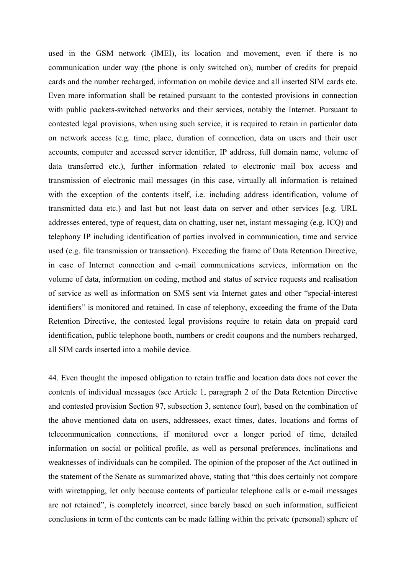used in the GSM network (IMEI), its location and movement, even if there is no communication under way (the phone is only switched on), number of credits for prepaid cards and the number recharged, information on mobile device and all inserted SIM cards etc. Even more information shall be retained pursuant to the contested provisions in connection with public packets-switched networks and their services, notably the Internet. Pursuant to contested legal provisions, when using such service, it is required to retain in particular data on network access (e.g. time, place, duration of connection, data on users and their user accounts, computer and accessed server identifier, IP address, full domain name, volume of data transferred etc.), further information related to electronic mail box access and transmission of electronic mail messages (in this case, virtually all information is retained with the exception of the contents itself, i.e. including address identification, volume of transmitted data etc.) and last but not least data on server and other services [e.g. URL addresses entered, type of request, data on chatting, user net, instant messaging (e.g. ICQ) and telephony IP including identification of parties involved in communication, time and service used (e.g. file transmission or transaction). Exceeding the frame of Data Retention Directive, in case of Internet connection and e-mail communications services, information on the volume of data, information on coding, method and status of service requests and realisation of service as well as information on SMS sent via Internet gates and other "special-interest identifiers" is monitored and retained. In case of telephony, exceeding the frame of the Data Retention Directive, the contested legal provisions require to retain data on prepaid card identification, public telephone booth, numbers or credit coupons and the numbers recharged, all SIM cards inserted into a mobile device.

44. Even thought the imposed obligation to retain traffic and location data does not cover the contents of individual messages (see Article 1, paragraph 2 of the Data Retention Directive and contested provision Section 97, subsection 3, sentence four), based on the combination of the above mentioned data on users, addressees, exact times, dates, locations and forms of telecommunication connections, if monitored over a longer period of time, detailed information on social or political profile, as well as personal preferences, inclinations and weaknesses of individuals can be compiled. The opinion of the proposer of the Act outlined in the statement of the Senate as summarized above, stating that "this does certainly not compare with wiretapping, let only because contents of particular telephone calls or e-mail messages are not retained", is completely incorrect, since barely based on such information, sufficient conclusions in term of the contents can be made falling within the private (personal) sphere of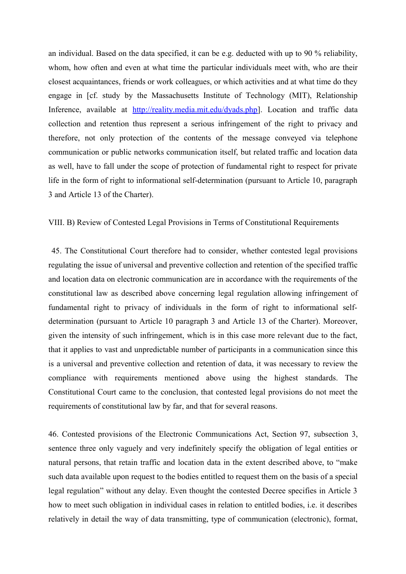an individual. Based on the data specified, it can be e.g. deducted with up to 90 % reliability, whom, how often and even at what time the particular individuals meet with, who are their closest acquaintances, friends or work colleagues, or which activities and at what time do they engage in [cf. study by the Massachusetts Institute of Technology (MIT), Relationship Inference, available at [http://reality.media.mit.edu/dyads.php\]](http://reality.media.mit.edu/dyads.php). Location and traffic data collection and retention thus represent a serious infringement of the right to privacy and therefore, not only protection of the contents of the message conveyed via telephone communication or public networks communication itself, but related traffic and location data as well, have to fall under the scope of protection of fundamental right to respect for private life in the form of right to informational self-determination (pursuant to Article 10, paragraph 3 and Article 13 of the Charter).

# VIII. B) Review of Contested Legal Provisions in Terms of Constitutional Requirements

45. The Constitutional Court therefore had to consider, whether contested legal provisions regulating the issue of universal and preventive collection and retention of the specified traffic and location data on electronic communication are in accordance with the requirements of the constitutional law as described above concerning legal regulation allowing infringement of fundamental right to privacy of individuals in the form of right to informational selfdetermination (pursuant to Article 10 paragraph 3 and Article 13 of the Charter). Moreover, given the intensity of such infringement, which is in this case more relevant due to the fact, that it applies to vast and unpredictable number of participants in a communication since this is a universal and preventive collection and retention of data, it was necessary to review the compliance with requirements mentioned above using the highest standards. The Constitutional Court came to the conclusion, that contested legal provisions do not meet the requirements of constitutional law by far, and that for several reasons.

46. Contested provisions of the Electronic Communications Act, Section 97, subsection 3, sentence three only vaguely and very indefinitely specify the obligation of legal entities or natural persons, that retain traffic and location data in the extent described above, to "make such data available upon request to the bodies entitled to request them on the basis of a special legal regulation" without any delay. Even thought the contested Decree specifies in Article 3 how to meet such obligation in individual cases in relation to entitled bodies, i.e. it describes relatively in detail the way of data transmitting, type of communication (electronic), format,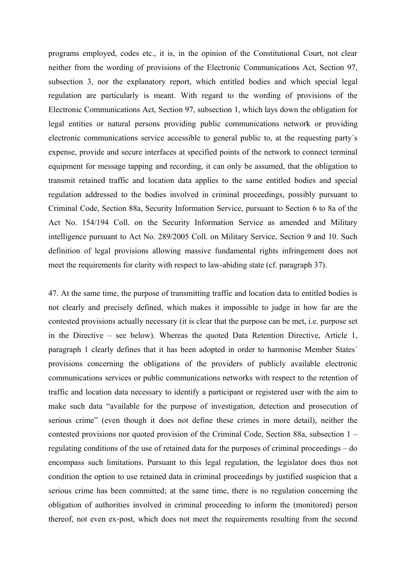programs employed, codes etc., it is, in the opinion of the Constitutional Court, not clear neither from the wording of provisions of the Electronic Communications Act, Section 97, subsection 3, nor the explanatory report, which entitled bodies and which special legal regulation are particularly is meant. With regard to the wording of provisions of the Electronic Communications Act, Section 97, subsection 1, which lays down the obligation for legal entities or natural persons providing public communications network or providing electronic communications service accessible to general public to, at the requesting party´s expense, provide and secure interfaces at specified points of the network to connect terminal equipment for message tapping and recording, it can only be assumed, that the obligation to transmit retained traffic and location data applies to the same entitled bodies and special regulation addressed to the bodies involved in criminal proceedings, possibly pursuant to Criminal Code, Section 88a, Security Information Service, pursuant to Section 6 to 8a of the Act No. 154/194 Coll. on the Security Information Service as amended and Military intelligence pursuant to Act No. 289/2005 Coll. on Military Service, Section 9 and 10. Such definition of legal provisions allowing massive fundamental rights infringement does not meet the requirements for clarity with respect to law-abiding state (cf. paragraph 37).

47. At the same time, the purpose of transmitting traffic and location data to entitled bodies is not clearly and precisely defined, which makes it impossible to judge in how far are the contested provisions actually necessary (it is clear that the purpose can be met, i.e. purpose set in the Directive – see below). Whereas the quoted Data Retention Directive, Article 1, paragraph 1 clearly defines that it has been adopted in order to harmonise Member States´ provisions concerning the obligations of the providers of publicly available electronic communications services or public communications networks with respect to the retention of traffic and location data necessary to identify a participant or registered user with the aim to make such data "available for the purpose of investigation, detection and prosecution of serious crime" (even though it does not define these crimes in more detail), neither the contested provisions nor quoted provision of the Criminal Code, Section 88a, subsection 1 – regulating conditions of the use of retained data for the purposes of criminal proceedings – do encompass such limitations. Pursuant to this legal regulation, the legislator does thus not condition the option to use retained data in criminal proceedings by justified suspicion that a serious crime has been committed; at the same time, there is no regulation concerning the obligation of authorities involved in criminal proceeding to inform the (monitored) person thereof, not even ex-post, which does not meet the requirements resulting from the second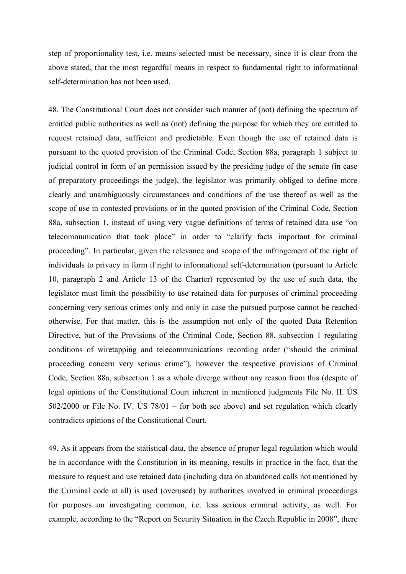step of proportionality test, i.e. means selected must be necessary, since it is clear from the above stated, that the most regardful means in respect to fundamental right to informational self-determination has not been used.

48. The Constitutional Court does not consider such manner of (not) defining the spectrum of entitled public authorities as well as (not) defining the purpose for which they are entitled to request retained data, sufficient and predictable. Even though the use of retained data is pursuant to the quoted provision of the Criminal Code, Section 88a, paragraph 1 subject to judicial control in form of an permission issued by the presiding judge of the senate (in case of preparatory proceedings the judge), the legislator was primarily obliged to define more clearly and unambiguously circumstances and conditions of the use thereof as well as the scope of use in contested provisions or in the quoted provision of the Criminal Code, Section 88a, subsection 1, instead of using very vague definitions of terms of retained data use "on telecommunication that took place" in order to "clarify facts important for criminal proceeding". In particular, given the relevance and scope of the infringement of the right of individuals to privacy in form if right to informational self-determination (pursuant to Article 10, paragraph 2 and Article 13 of the Charter) represented by the use of such data, the legislator must limit the possibility to use retained data for purposes of criminal proceeding concerning very serious crimes only and only in case the pursued purpose cannot be reached otherwise. For that matter, this is the assumption not only of the quoted Data Retention Directive, but of the Provisions of the Criminal Code, Section 88, subsection 1 regulating conditions of wiretapping and telecommunications recording order ("should the criminal proceeding concern very serious crime"), however the respective provisions of Criminal Code, Section 88a, subsection 1 as a whole diverge without any reason from this (despite of legal opinions of the Constitutional Court inherent in mentioned judgments File No. II. ÚS 502/2000 or File No. IV. ÚS 78/01 – for both see above) and set regulation which clearly contradicts opinions of the Constitutional Court.

49. As it appears from the statistical data, the absence of proper legal regulation which would be in accordance with the Constitution in its meaning, results in practice in the fact, that the measure to request and use retained data (including data on abandoned calls not mentioned by the Criminal code at all) is used (overused) by authorities involved in criminal proceedings for purposes on investigating common, i.e. less serious criminal activity, as well. For example, according to the "Report on Security Situation in the Czech Republic in 2008", there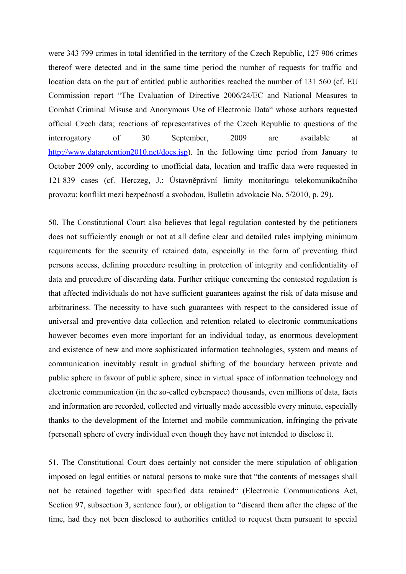were 343 799 crimes in total identified in the territory of the Czech Republic, 127 906 crimes thereof were detected and in the same time period the number of requests for traffic and location data on the part of entitled public authorities reached the number of 131 560 (cf. EU Commission report "The Evaluation of Directive 2006/24/EC and National Measures to Combat Criminal Misuse and Anonymous Use of Electronic Data" whose authors requested official Czech data; reactions of representatives of the Czech Republic to questions of the interrogatory of 30 September, 2009 are available at [http://www.dataretention2010.net/docs.jsp\)](http://www.dataretention2010.net/docs.jsp). In the following time period from January to October 2009 only, according to unofficial data, location and traffic data were requested in 121 839 cases (cf. Herczeg, J.: Ústavněprávní limity monitoringu telekomunikačního provozu: konflikt mezi bezpečností a svobodou, Bulletin advokacie No. 5/2010, p. 29).

50. The Constitutional Court also believes that legal regulation contested by the petitioners does not sufficiently enough or not at all define clear and detailed rules implying minimum requirements for the security of retained data, especially in the form of preventing third persons access, defining procedure resulting in protection of integrity and confidentiality of data and procedure of discarding data. Further critique concerning the contested regulation is that affected individuals do not have sufficient guarantees against the risk of data misuse and arbitrariness. The necessity to have such guarantees with respect to the considered issue of universal and preventive data collection and retention related to electronic communications however becomes even more important for an individual today, as enormous development and existence of new and more sophisticated information technologies, system and means of communication inevitably result in gradual shifting of the boundary between private and public sphere in favour of public sphere, since in virtual space of information technology and electronic communication (in the so-called cyberspace) thousands, even millions of data, facts and information are recorded, collected and virtually made accessible every minute, especially thanks to the development of the Internet and mobile communication, infringing the private (personal) sphere of every individual even though they have not intended to disclose it.

51. The Constitutional Court does certainly not consider the mere stipulation of obligation imposed on legal entities or natural persons to make sure that "the contents of messages shall not be retained together with specified data retained" (Electronic Communications Act, Section 97, subsection 3, sentence four), or obligation to "discard them after the elapse of the time, had they not been disclosed to authorities entitled to request them pursuant to special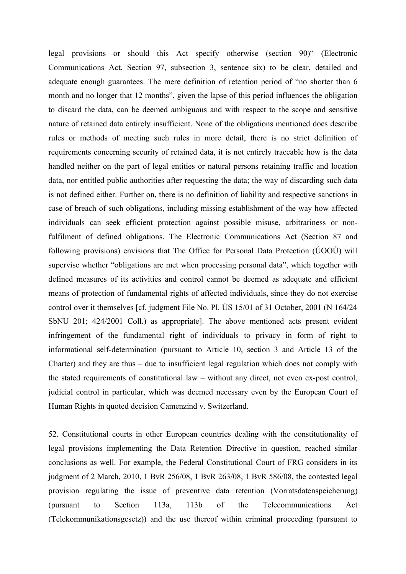legal provisions or should this Act specify otherwise (section 90)" (Electronic Communications Act, Section 97, subsection 3, sentence six) to be clear, detailed and adequate enough guarantees. The mere definition of retention period of "no shorter than 6 month and no longer that 12 months", given the lapse of this period influences the obligation to discard the data, can be deemed ambiguous and with respect to the scope and sensitive nature of retained data entirely insufficient. None of the obligations mentioned does describe rules or methods of meeting such rules in more detail, there is no strict definition of requirements concerning security of retained data, it is not entirely traceable how is the data handled neither on the part of legal entities or natural persons retaining traffic and location data, nor entitled public authorities after requesting the data; the way of discarding such data is not defined either. Further on, there is no definition of liability and respective sanctions in case of breach of such obligations, including missing establishment of the way how affected individuals can seek efficient protection against possible misuse, arbitrariness or nonfulfilment of defined obligations. The Electronic Communications Act (Section 87 and following provisions) envisions that The Office for Personal Data Protection (ÚOOÚ) will supervise whether "obligations are met when processing personal data", which together with defined measures of its activities and control cannot be deemed as adequate and efficient means of protection of fundamental rights of affected individuals, since they do not exercise control over it themselves [cf. judgment File No. Pl. ÚS 15/01 of 31 October, 2001 (N 164/24 SbNU 201; 424/2001 Coll.) as appropriate]. The above mentioned acts present evident infringement of the fundamental right of individuals to privacy in form of right to informational self-determination (pursuant to Article 10, section 3 and Article 13 of the Charter) and they are thus – due to insufficient legal regulation which does not comply with the stated requirements of constitutional law – without any direct, not even ex-post control, judicial control in particular, which was deemed necessary even by the European Court of Human Rights in quoted decision Camenzind v. Switzerland.

52. Constitutional courts in other European countries dealing with the constitutionality of legal provisions implementing the Data Retention Directive in question, reached similar conclusions as well. For example, the Federal Constitutional Court of FRG considers in its judgment of 2 March, 2010, 1 BvR 256/08, 1 BvR 263/08, 1 BvR 586/08, the contested legal provision regulating the issue of preventive data retention (Vorratsdatenspeicherung) (pursuant to Section 113a, 113b of the Telecommunications Act (Telekommunikationsgesetz)) and the use thereof within criminal proceeding (pursuant to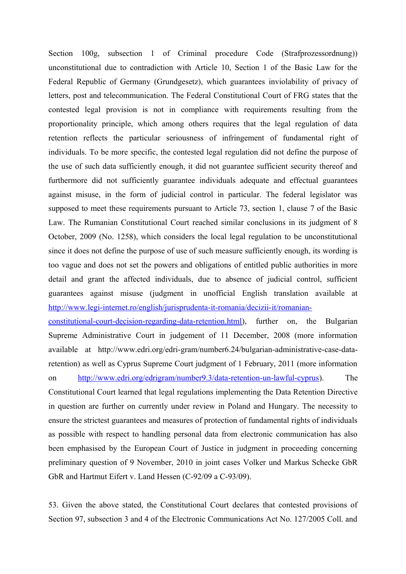Section 100g, subsection 1 of Criminal procedure Code (Strafprozessordnung)) unconstitutional due to contradiction with Article 10, Section 1 of the Basic Law for the Federal Republic of Germany (Grundgesetz), which guarantees inviolability of privacy of letters, post and telecommunication. The Federal Constitutional Court of FRG states that the contested legal provision is not in compliance with requirements resulting from the proportionality principle, which among others requires that the legal regulation of data retention reflects the particular seriousness of infringement of fundamental right of individuals. To be more specific, the contested legal regulation did not define the purpose of the use of such data sufficiently enough, it did not guarantee sufficient security thereof and furthermore did not sufficiently guarantee individuals adequate and effectual guarantees against misuse, in the form of judicial control in particular. The federal legislator was supposed to meet these requirements pursuant to Article 73, section 1, clause 7 of the Basic Law. The Rumanian Constitutional Court reached similar conclusions in its judgment of 8 October, 2009 (No. 1258), which considers the local legal regulation to be unconstitutional since it does not define the purpose of use of such measure sufficiently enough, its wording is too vague and does not set the powers and obligations of entitled public authorities in more detail and grant the affected individuals, due to absence of judicial control, sufficient guarantees against misuse (judgment in unofficial English translation available at [http://www.legi-internet.ro/english/jurisprudenta-it-romania/decizii-it/romanian-](http://www.legi-internet.ro/english/jurisprudenta-it-romania/decizii-it/romanian-constitutional-court-decision-regarding-data-retention.html)

[constitutional-court-decision-regarding-data-retention.html\)](http://www.legi-internet.ro/english/jurisprudenta-it-romania/decizii-it/romanian-constitutional-court-decision-regarding-data-retention.html), further on, the Bulgarian Supreme Administrative Court in judgement of 11 December, 2008 (more information available at http://www.edri.org/edri-gram/number6.24/bulgarian-administrative-case-dataretention) as well as Cyprus Supreme Court judgment of 1 February, 2011 (more information on [http://www.edri.org/edrigram/number9.3/data-retention-un-lawful-cyprus\)](http://www.edri.org/edrigram/number9.3/data-retention-un-lawful-cyprus). The Constitutional Court learned that legal regulations implementing the Data Retention Directive in question are further on currently under review in Poland and Hungary. The necessity to ensure the strictest guarantees and measures of protection of fundamental rights of individuals as possible with respect to handling personal data from electronic communication has also been emphasised by the European Court of Justice in judgment in proceeding concerning preliminary question of 9 November, 2010 in joint cases Volker und Markus Schecke GbR GbR and Hartmut Eifert v. Land Hessen (C-92/09 a C-93/09).

53. Given the above stated, the Constitutional Court declares that contested provisions of Section 97, subsection 3 and 4 of the Electronic Communications Act No. 127/2005 Coll. and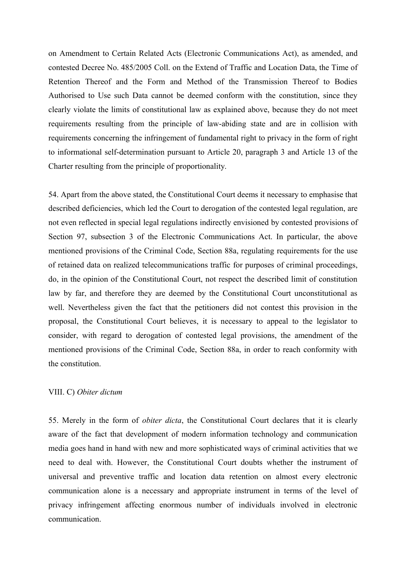on Amendment to Certain Related Acts (Electronic Communications Act), as amended, and contested Decree No. 485/2005 Coll. on the Extend of Traffic and Location Data, the Time of Retention Thereof and the Form and Method of the Transmission Thereof to Bodies Authorised to Use such Data cannot be deemed conform with the constitution, since they clearly violate the limits of constitutional law as explained above, because they do not meet requirements resulting from the principle of law-abiding state and are in collision with requirements concerning the infringement of fundamental right to privacy in the form of right to informational self-determination pursuant to Article 20, paragraph 3 and Article 13 of the Charter resulting from the principle of proportionality.

54. Apart from the above stated, the Constitutional Court deems it necessary to emphasise that described deficiencies, which led the Court to derogation of the contested legal regulation, are not even reflected in special legal regulations indirectly envisioned by contested provisions of Section 97, subsection 3 of the Electronic Communications Act. In particular, the above mentioned provisions of the Criminal Code, Section 88a, regulating requirements for the use of retained data on realized telecommunications traffic for purposes of criminal proceedings, do, in the opinion of the Constitutional Court, not respect the described limit of constitution law by far, and therefore they are deemed by the Constitutional Court unconstitutional as well. Nevertheless given the fact that the petitioners did not contest this provision in the proposal, the Constitutional Court believes, it is necessary to appeal to the legislator to consider, with regard to derogation of contested legal provisions, the amendment of the mentioned provisions of the Criminal Code, Section 88a, in order to reach conformity with the constitution.

#### VIII. C) *Obiter dictum*

55. Merely in the form of *obiter dicta*, the Constitutional Court declares that it is clearly aware of the fact that development of modern information technology and communication media goes hand in hand with new and more sophisticated ways of criminal activities that we need to deal with. However, the Constitutional Court doubts whether the instrument of universal and preventive traffic and location data retention on almost every electronic communication alone is a necessary and appropriate instrument in terms of the level of privacy infringement affecting enormous number of individuals involved in electronic communication.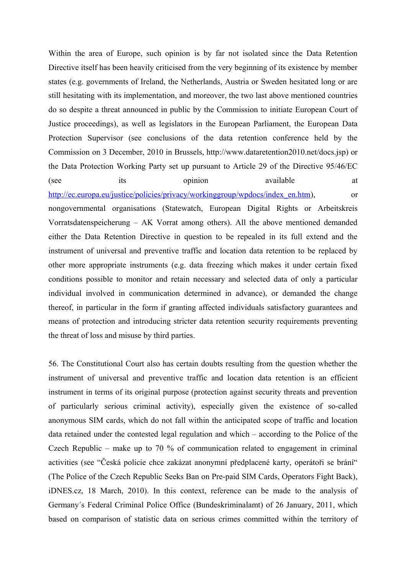Within the area of Europe, such opinion is by far not isolated since the Data Retention Directive itself has been heavily criticised from the very beginning of its existence by member states (e.g. governments of Ireland, the Netherlands, Austria or Sweden hesitated long or are still hesitating with its implementation, and moreover, the two last above mentioned countries do so despite a threat announced in public by the Commission to initiate European Court of Justice proceedings), as well as legislators in the European Parliament, the European Data Protection Supervisor (see conclusions of the data retention conference held by the Commission on 3 December, 2010 in Brussels, http://www.dataretention2010.net/docs.jsp) or the Data Protection Working Party set up pursuant to Article 29 of the Directive 95/46/EC (see its opinion available at [http://ec.europa.eu/justice/policies/privacy/workinggroup/wpdocs/index\\_en.htm\)](http://ec.europa.eu/justice/policies/privacy/workinggroup/wpdocs/index_en.htm), or nongovernmental organisations (Statewatch, European Digital Rights or Arbeitskreis Vorratsdatenspeicherung – AK Vorrat among others). All the above mentioned demanded either the Data Retention Directive in question to be repealed in its full extend and the instrument of universal and preventive traffic and location data retention to be replaced by other more appropriate instruments (e.g. data freezing which makes it under certain fixed conditions possible to monitor and retain necessary and selected data of only a particular individual involved in communication determined in advance), or demanded the change thereof, in particular in the form if granting affected individuals satisfactory guarantees and means of protection and introducing stricter data retention security requirements preventing the threat of loss and misuse by third parties.

56. The Constitutional Court also has certain doubts resulting from the question whether the instrument of universal and preventive traffic and location data retention is an efficient instrument in terms of its original purpose (protection against security threats and prevention of particularly serious criminal activity), especially given the existence of so-called anonymous SIM cards, which do not fall within the anticipated scope of traffic and location data retained under the contested legal regulation and which – according to the Police of the Czech Republic – make up to 70 % of communication related to engagement in criminal activities (see "Česká policie chce zakázat anonymní předplacené karty, operátoři se brání" (The Police of the Czech Republic Seeks Ban on Pre-paid SIM Cards, Operators Fight Back), iDNES.cz, 18 March, 2010). In this context, reference can be made to the analysis of Germany´s Federal Criminal Police Office (Bundeskriminalamt) of 26 January, 2011, which based on comparison of statistic data on serious crimes committed within the territory of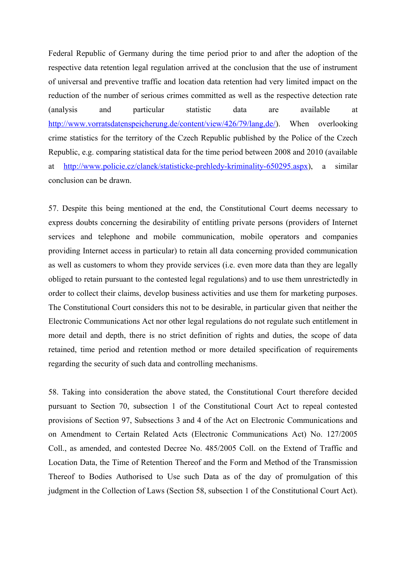Federal Republic of Germany during the time period prior to and after the adoption of the respective data retention legal regulation arrived at the conclusion that the use of instrument of universal and preventive traffic and location data retention had very limited impact on the reduction of the number of serious crimes committed as well as the respective detection rate (analysis and particular statistic data are available at [http://www.vorratsdatenspeicherung.de/content/view/426/79/lang,de/\)](http://www.vorratsdatenspeicherung.de/content/view/426/79/lang,de/). When overlooking crime statistics for the territory of the Czech Republic published by the Police of the Czech Republic, e.g. comparing statistical data for the time period between 2008 and 2010 (available at [http://www.policie.cz/clanek/statisticke-prehledy-kriminality-650295.aspx\)](http://www.policie.cz/clanek/statisticke-prehledy-kriminality-650295.aspx), a similar conclusion can be drawn.

57. Despite this being mentioned at the end, the Constitutional Court deems necessary to express doubts concerning the desirability of entitling private persons (providers of Internet services and telephone and mobile communication, mobile operators and companies providing Internet access in particular) to retain all data concerning provided communication as well as customers to whom they provide services (i.e. even more data than they are legally obliged to retain pursuant to the contested legal regulations) and to use them unrestrictedly in order to collect their claims, develop business activities and use them for marketing purposes. The Constitutional Court considers this not to be desirable, in particular given that neither the Electronic Communications Act nor other legal regulations do not regulate such entitlement in more detail and depth, there is no strict definition of rights and duties, the scope of data retained, time period and retention method or more detailed specification of requirements regarding the security of such data and controlling mechanisms.

58. Taking into consideration the above stated, the Constitutional Court therefore decided pursuant to Section 70, subsection 1 of the Constitutional Court Act to repeal contested provisions of Section 97, Subsections 3 and 4 of the Act on Electronic Communications and on Amendment to Certain Related Acts (Electronic Communications Act) No. 127/2005 Coll., as amended, and contested Decree No. 485/2005 Coll. on the Extend of Traffic and Location Data, the Time of Retention Thereof and the Form and Method of the Transmission Thereof to Bodies Authorised to Use such Data as of the day of promulgation of this judgment in the Collection of Laws (Section 58, subsection 1 of the Constitutional Court Act).